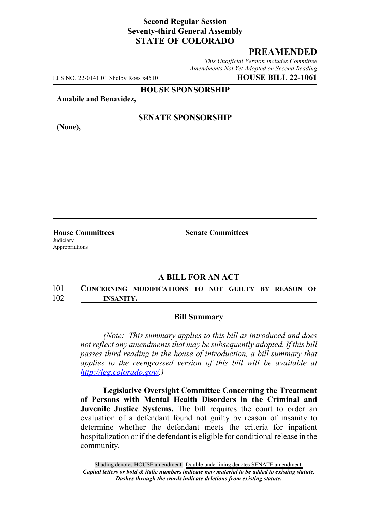# **Second Regular Session Seventy-third General Assembly STATE OF COLORADO**

# **PREAMENDED**

*This Unofficial Version Includes Committee Amendments Not Yet Adopted on Second Reading*

LLS NO. 22-0141.01 Shelby Ross x4510 **HOUSE BILL 22-1061**

**HOUSE SPONSORSHIP**

**Amabile and Benavidez,**

**(None),**

## **SENATE SPONSORSHIP**

**Judiciary** Appropriations

**House Committees Senate Committees**

## **A BILL FOR AN ACT**

101 **CONCERNING MODIFICATIONS TO NOT GUILTY BY REASON OF** 102 **INSANITY.**

#### **Bill Summary**

*(Note: This summary applies to this bill as introduced and does not reflect any amendments that may be subsequently adopted. If this bill passes third reading in the house of introduction, a bill summary that applies to the reengrossed version of this bill will be available at http://leg.colorado.gov/.)*

**Legislative Oversight Committee Concerning the Treatment of Persons with Mental Health Disorders in the Criminal and Juvenile Justice Systems.** The bill requires the court to order an evaluation of a defendant found not guilty by reason of insanity to determine whether the defendant meets the criteria for inpatient hospitalization or if the defendant is eligible for conditional release in the community.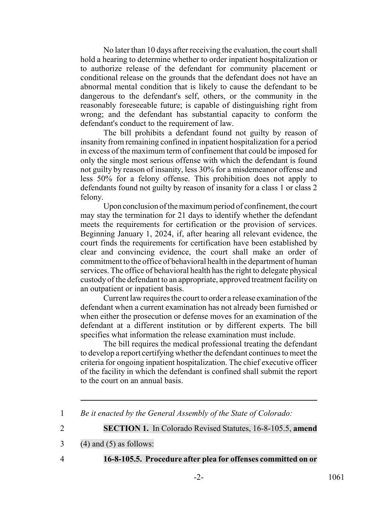No later than 10 days after receiving the evaluation, the court shall hold a hearing to determine whether to order inpatient hospitalization or to authorize release of the defendant for community placement or conditional release on the grounds that the defendant does not have an abnormal mental condition that is likely to cause the defendant to be dangerous to the defendant's self, others, or the community in the reasonably foreseeable future; is capable of distinguishing right from wrong; and the defendant has substantial capacity to conform the defendant's conduct to the requirement of law.

The bill prohibits a defendant found not guilty by reason of insanity from remaining confined in inpatient hospitalization for a period in excess of the maximum term of confinement that could be imposed for only the single most serious offense with which the defendant is found not guilty by reason of insanity, less 30% for a misdemeanor offense and less 50% for a felony offense. This prohibition does not apply to defendants found not guilty by reason of insanity for a class 1 or class 2 felony.

Upon conclusion of the maximum period of confinement, the court may stay the termination for 21 days to identify whether the defendant meets the requirements for certification or the provision of services. Beginning January 1, 2024, if, after hearing all relevant evidence, the court finds the requirements for certification have been established by clear and convincing evidence, the court shall make an order of commitment to the office of behavioral health in the department of human services. The office of behavioral health has the right to delegate physical custody of the defendant to an appropriate, approved treatment facility on an outpatient or inpatient basis.

Current law requires the court to order a release examination of the defendant when a current examination has not already been furnished or when either the prosecution or defense moves for an examination of the defendant at a different institution or by different experts. The bill specifies what information the release examination must include.

The bill requires the medical professional treating the defendant to develop a report certifying whether the defendant continues to meet the criteria for ongoing inpatient hospitalization. The chief executive officer of the facility in which the defendant is confined shall submit the report to the court on an annual basis.

2 **SECTION 1.** In Colorado Revised Statutes, 16-8-105.5, **amend**

 $3 \qquad (4)$  and  $(5)$  as follows:

- 
- 4 **16-8-105.5. Procedure after plea for offenses committed on or**

<sup>1</sup> *Be it enacted by the General Assembly of the State of Colorado:*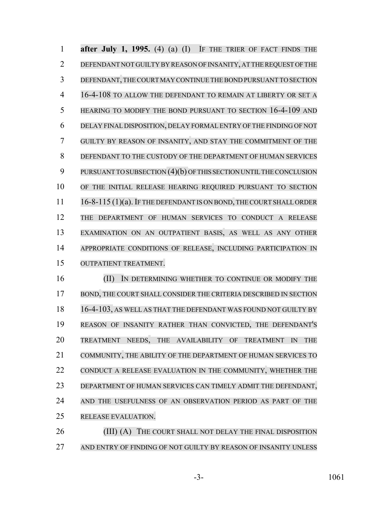**after July 1, 1995.** (4) (a) (I) IF THE TRIER OF FACT FINDS THE DEFENDANT NOT GUILTY BY REASON OF INSANITY, AT THE REQUEST OF THE DEFENDANT,THECOURT MAY CONTINUE THE BOND PURSUANT TO SECTION 16-4-108 TO ALLOW THE DEFENDANT TO REMAIN AT LIBERTY OR SET A HEARING TO MODIFY THE BOND PURSUANT TO SECTION 16-4-109 AND DELAY FINAL DISPOSITION, DELAY FORMAL ENTRY OF THE FINDING OF NOT GUILTY BY REASON OF INSANITY, AND STAY THE COMMITMENT OF THE DEFENDANT TO THE CUSTODY OF THE DEPARTMENT OF HUMAN SERVICES PURSUANTTOSUBSECTION (4)(b) OF THIS SECTION UNTIL THE CONCLUSION OF THE INITIAL RELEASE HEARING REQUIRED PURSUANT TO SECTION 11 16-8-115 (1)(a). IF THE DEFENDANT IS ON BOND, THE COURT SHALL ORDER THE DEPARTMENT OF HUMAN SERVICES TO CONDUCT A RELEASE EXAMINATION ON AN OUTPATIENT BASIS, AS WELL AS ANY OTHER APPROPRIATE CONDITIONS OF RELEASE, INCLUDING PARTICIPATION IN OUTPATIENT TREATMENT. **(II)** IN DETERMINING WHETHER TO CONTINUE OR MODIFY THE BOND, THE COURT SHALL CONSIDER THE CRITERIA DESCRIBED IN SECTION

 16-4-103, AS WELL AS THAT THE DEFENDANT WAS FOUND NOT GUILTY BY REASON OF INSANITY RATHER THAN CONVICTED, THE DEFENDANT'S TREATMENT NEEDS, THE AVAILABILITY OF TREATMENT IN THE COMMUNITY, THE ABILITY OF THE DEPARTMENT OF HUMAN SERVICES TO CONDUCT A RELEASE EVALUATION IN THE COMMUNITY, WHETHER THE DEPARTMENT OF HUMAN SERVICES CAN TIMELY ADMIT THE DEFENDANT, AND THE USEFULNESS OF AN OBSERVATION PERIOD AS PART OF THE RELEASE EVALUATION.

26 (III) (A) THE COURT SHALL NOT DELAY THE FINAL DISPOSITION AND ENTRY OF FINDING OF NOT GUILTY BY REASON OF INSANITY UNLESS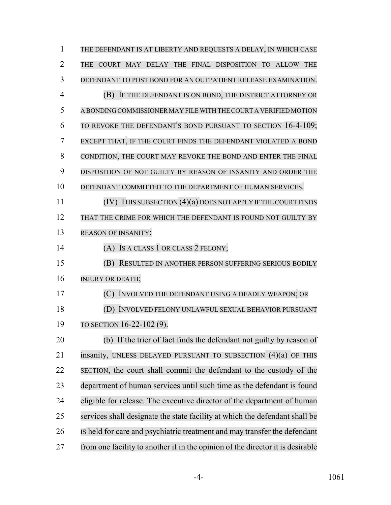| $\mathbf{1}$   | THE DEFENDANT IS AT LIBERTY AND REQUESTS A DELAY, IN WHICH CASE                |
|----------------|--------------------------------------------------------------------------------|
| $\overline{2}$ | THE COURT MAY DELAY THE FINAL DISPOSITION TO ALLOW<br><b>THE</b>               |
| 3              | DEFENDANT TO POST BOND FOR AN OUTPATIENT RELEASE EXAMINATION.                  |
| $\overline{4}$ | (B) IF THE DEFENDANT IS ON BOND, THE DISTRICT ATTORNEY OR                      |
| 5              | A BONDING COMMISSIONER MAY FILE WITH THE COURT A VERIFIED MOTION               |
| 6              | TO REVOKE THE DEFENDANT'S BOND PURSUANT TO SECTION 16-4-109;                   |
| 7              | EXCEPT THAT, IF THE COURT FINDS THE DEFENDANT VIOLATED A BOND                  |
| 8              | CONDITION, THE COURT MAY REVOKE THE BOND AND ENTER THE FINAL                   |
| 9              | DISPOSITION OF NOT GUILTY BY REASON OF INSANITY AND ORDER THE                  |
| 10             | DEFENDANT COMMITTED TO THE DEPARTMENT OF HUMAN SERVICES.                       |
| 11             | (IV) THIS SUBSECTION (4)(a) DOES NOT APPLY IF THE COURT FINDS                  |
| 12             | THAT THE CRIME FOR WHICH THE DEFENDANT IS FOUND NOT GUILTY BY                  |
| 13             | <b>REASON OF INSANITY:</b>                                                     |
| 14             | (A) IS A CLASS 1 OR CLASS 2 FELONY;                                            |
| 15             | (B) RESULTED IN ANOTHER PERSON SUFFERING SERIOUS BODILY                        |
| 16             | <b>INJURY OR DEATH;</b>                                                        |
| 17             | (C) INVOLVED THE DEFENDANT USING A DEADLY WEAPON; OR                           |
| 18             | (D) INVOLVED FELONY UNLAWFUL SEXUAL BEHAVIOR PURSUANT                          |
| 19             | TO SECTION 16-22-102 (9).                                                      |
| 20             | (b) If the trier of fact finds the defendant not guilty by reason of           |
| 21             | insanity, UNLESS DELAYED PURSUANT TO SUBSECTION $(4)(a)$ OF THIS               |
| 22             | SECTION, the court shall commit the defendant to the custody of the            |
| 23             | department of human services until such time as the defendant is found         |
| 24             | eligible for release. The executive director of the department of human        |
| 25             | services shall designate the state facility at which the defendant shall be    |
| 26             | IS held for care and psychiatric treatment and may transfer the defendant      |
| 27             | from one facility to another if in the opinion of the director it is desirable |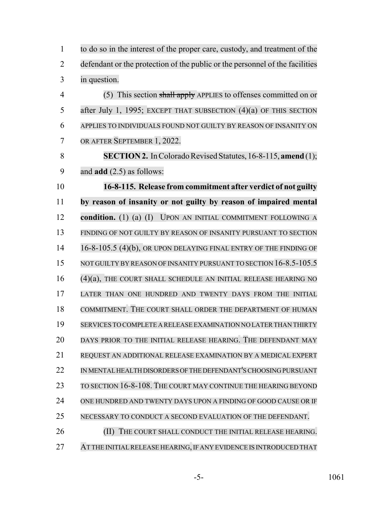| $\mathbf{1}$   | to do so in the interest of the proper care, custody, and treatment of the   |
|----------------|------------------------------------------------------------------------------|
| $\overline{2}$ | defendant or the protection of the public or the personnel of the facilities |
| 3              | in question.                                                                 |
| $\overline{4}$ | (5) This section shall apply APPLIES to offenses committed on or             |
| 5              | after July 1, 1995; EXCEPT THAT SUBSECTION $(4)(a)$ OF THIS SECTION          |
| 6              | APPLIES TO INDIVIDUALS FOUND NOT GUILTY BY REASON OF INSANITY ON             |
| 7              | OR AFTER SEPTEMBER 1, 2022.                                                  |
| 8              | <b>SECTION 2.</b> In Colorado Revised Statutes, 16-8-115, amend (1);         |
| 9              | and $add(2.5)$ as follows:                                                   |
| 10             | 16-8-115. Release from commitment after verdict of not guilty                |
| 11             | by reason of insanity or not guilty by reason of impaired mental             |
| 12             | condition. (1) (a) (I) UPON AN INITIAL COMMITMENT FOLLOWING A                |
| 13             | FINDING OF NOT GUILTY BY REASON OF INSANITY PURSUANT TO SECTION              |
| 14             | 16-8-105.5 (4)(b), OR UPON DELAYING FINAL ENTRY OF THE FINDING OF            |
| 15             | NOT GUILTY BY REASON OF INSANITY PURSUANT TO SECTION 16-8.5-105.5            |
| 16             | (4)(a), THE COURT SHALL SCHEDULE AN INITIAL RELEASE HEARING NO               |
| 17             | LATER THAN ONE HUNDRED AND TWENTY DAYS FROM THE INITIAL                      |
| 18             | COMMITMENT. THE COURT SHALL ORDER THE DEPARTMENT OF HUMAN                    |
| 19             | SERVICES TO COMPLETE A RELEASE EXAMINATION NO LATER THAN THIRTY              |
| 20             | DAYS PRIOR TO THE INITIAL RELEASE HEARING. THE DEFENDANT MAY                 |
| 21             | REQUEST AN ADDITIONAL RELEASE EXAMINATION BY A MEDICAL EXPERT                |
| 22             | IN MENTAL HEALTH DISORDERS OF THE DEFENDANT'S CHOOSING PURSUANT              |
| 23             | TO SECTION 16-8-108. THE COURT MAY CONTINUE THE HEARING BEYOND               |
| 24             | ONE HUNDRED AND TWENTY DAYS UPON A FINDING OF GOOD CAUSE OR IF               |
| 25             | NECESSARY TO CONDUCT A SECOND EVALUATION OF THE DEFENDANT.                   |
| 26             | THE COURT SHALL CONDUCT THE INITIAL RELEASE HEARING.<br>(II)                 |
| 27             | AT THE INITIAL RELEASE HEARING, IF ANY EVIDENCE IS INTRODUCED THAT           |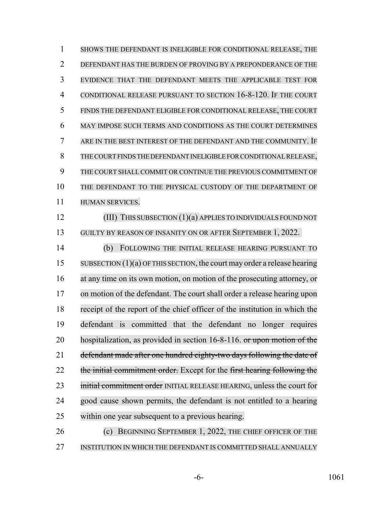SHOWS THE DEFENDANT IS INELIGIBLE FOR CONDITIONAL RELEASE, THE DEFENDANT HAS THE BURDEN OF PROVING BY A PREPONDERANCE OF THE EVIDENCE THAT THE DEFENDANT MEETS THE APPLICABLE TEST FOR CONDITIONAL RELEASE PURSUANT TO SECTION 16-8-120. IF THE COURT FINDS THE DEFENDANT ELIGIBLE FOR CONDITIONAL RELEASE, THE COURT MAY IMPOSE SUCH TERMS AND CONDITIONS AS THE COURT DETERMINES ARE IN THE BEST INTEREST OF THE DEFENDANT AND THE COMMUNITY. IF THECOURT FINDS THE DEFENDANT INELIGIBLE FOR CONDITIONAL RELEASE, THE COURT SHALL COMMIT OR CONTINUE THE PREVIOUS COMMITMENT OF THE DEFENDANT TO THE PHYSICAL CUSTODY OF THE DEPARTMENT OF HUMAN SERVICES. (III) THIS SUBSECTION (1)(a) APPLIES TO INDIVIDUALS FOUND NOT GUILTY BY REASON OF INSANITY ON OR AFTER SEPTEMBER 1, 2022. (b) FOLLOWING THE INITIAL RELEASE HEARING PURSUANT TO 15 SUBSECTION (1)(a) OF THIS SECTION, the court may order a release hearing at any time on its own motion, on motion of the prosecuting attorney, or on motion of the defendant. The court shall order a release hearing upon receipt of the report of the chief officer of the institution in which the defendant is committed that the defendant no longer requires 20 hospitalization, as provided in section 16-8-116. or upon motion of the defendant made after one hundred eighty-two days following the date of 22 the initial commitment order. Except for the first hearing following the 23 initial commitment order INITIAL RELEASE HEARING, unless the court for good cause shown permits, the defendant is not entitled to a hearing within one year subsequent to a previous hearing. **(c) BEGINNING SEPTEMBER 1, 2022, THE CHIEF OFFICER OF THE** 

INSTITUTION IN WHICH THE DEFENDANT IS COMMITTED SHALL ANNUALLY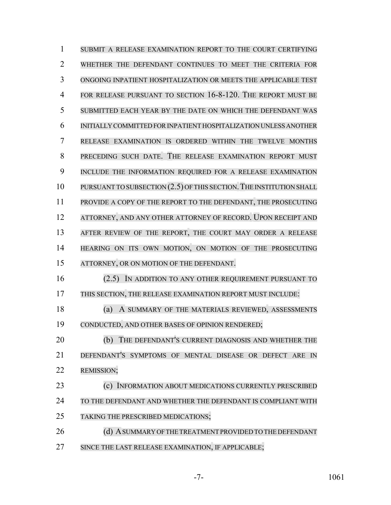SUBMIT A RELEASE EXAMINATION REPORT TO THE COURT CERTIFYING WHETHER THE DEFENDANT CONTINUES TO MEET THE CRITERIA FOR ONGOING INPATIENT HOSPITALIZATION OR MEETS THE APPLICABLE TEST 4 FOR RELEASE PURSUANT TO SECTION 16-8-120. THE REPORT MUST BE SUBMITTED EACH YEAR BY THE DATE ON WHICH THE DEFENDANT WAS INITIALLY COMMITTED FOR INPATIENT HOSPITALIZATION UNLESS ANOTHER RELEASE EXAMINATION IS ORDERED WITHIN THE TWELVE MONTHS PRECEDING SUCH DATE. THE RELEASE EXAMINATION REPORT MUST INCLUDE THE INFORMATION REQUIRED FOR A RELEASE EXAMINATION 10 PURSUANT TO SUBSECTION (2.5) OF THIS SECTION. THE INSTITUTION SHALL PROVIDE A COPY OF THE REPORT TO THE DEFENDANT, THE PROSECUTING 12 ATTORNEY, AND ANY OTHER ATTORNEY OF RECORD. UPON RECEIPT AND AFTER REVIEW OF THE REPORT, THE COURT MAY ORDER A RELEASE HEARING ON ITS OWN MOTION, ON MOTION OF THE PROSECUTING ATTORNEY, OR ON MOTION OF THE DEFENDANT. (2.5) IN ADDITION TO ANY OTHER REQUIREMENT PURSUANT TO THIS SECTION, THE RELEASE EXAMINATION REPORT MUST INCLUDE: (a) A SUMMARY OF THE MATERIALS REVIEWED, ASSESSMENTS CONDUCTED, AND OTHER BASES OF OPINION RENDERED; (b) THE DEFENDANT'S CURRENT DIAGNOSIS AND WHETHER THE DEFENDANT'S SYMPTOMS OF MENTAL DISEASE OR DEFECT ARE IN REMISSION; (c) INFORMATION ABOUT MEDICATIONS CURRENTLY PRESCRIBED TO THE DEFENDANT AND WHETHER THE DEFENDANT IS COMPLIANT WITH TAKING THE PRESCRIBED MEDICATIONS; 26 (d) A SUMMARY OF THE TREATMENT PROVIDED TO THE DEFENDANT SINCE THE LAST RELEASE EXAMINATION, IF APPLICABLE;